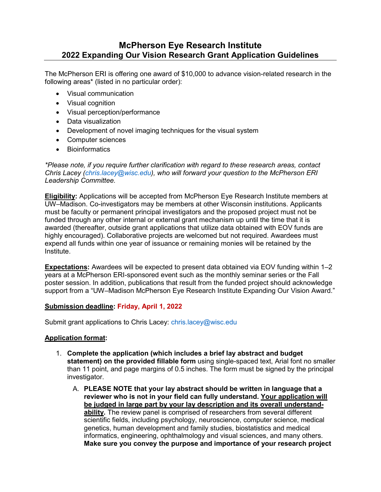# **McPherson Eye Research Institute 2022 Expanding Our Vision Research Grant Application Guidelines**

The McPherson ERI is offering one award of \$10,000 to advance vision-related research in the following areas\* (listed in no particular order):

- Visual communication
- Visual cognition
- Visual perception/performance
- Data visualization
- Development of novel imaging techniques for the visual system
- Computer sciences
- Bioinformatics

*\*Please note, if you require further clarification with regard to these research areas, contact Chris Lacey (chris.lacey@wisc.edu), who will forward your question to the McPherson ERI Leadership Committee.* 

**Eligibility:** Applications will be accepted from McPherson Eye Research Institute members at UW–Madison. Co-investigators may be members at other Wisconsin institutions. Applicants must be faculty or permanent principal investigators and the proposed project must not be funded through any other internal or external grant mechanism up until the time that it is awarded (thereafter, outside grant applications that utilize data obtained with EOV funds are highly encouraged). Collaborative projects are welcomed but not required. Awardees must expend all funds within one year of issuance or remaining monies will be retained by the Institute.

**Expectations:** Awardees will be expected to present data obtained via EOV funding within 1–2 years at a McPherson ERI-sponsored event such as the monthly seminar series or the Fall poster session. In addition, publications that result from the funded project should acknowledge support from a "UW–Madison McPherson Eye Research Institute Expanding Our Vision Award."

### **Submission deadline: Friday, April 1, 2022**

Submit grant applications to Chris Lacey: chris.lacey@wisc.edu

### **Application format:**

- 1. **Complete the application (which includes a brief lay abstract and budget statement) on the provided fillable form** using single-spaced text, Arial font no smaller than 11 point, and page margins of 0.5 inches. The form must be signed by the principal investigator.
	- A. **PLEASE NOTE that your lay abstract should be written in language that a reviewer who is not in your field can fully understand. Your application will be judged in large part by your lay description and its overall understandability.** The review panel is comprised of researchers from several different scientific fields, including psychology, neuroscience, computer science, medical genetics, human development and family studies, biostatistics and medical informatics, engineering, ophthalmology and visual sciences, and many others. **Make sure you convey the purpose and importance of your research project**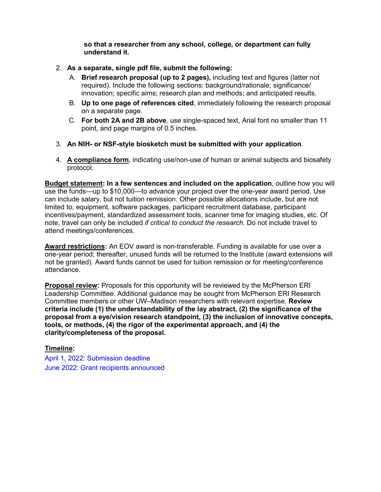**so that a researcher from any school, college, or department can fully understand it.**

- 2. **As a separate, single pdf file, submit the following:** 
	- A. **Brief research proposal (up to 2 pages),** including text and figures (latter not required). Include the following sections: background/rationale; significance/ innovation; specific aims; research plan and methods; and anticipated results.
	- B. **Up to one page of references cited**, immediately following the research proposal on a separate page.
	- C. **For both 2A and 2B above**, use single-spaced text, Arial font no smaller than 11 point, and page margins of 0.5 inches.
- 3. **An NIH- or NSF-style biosketch must be submitted with your application**.
- 4. **A compliance form**, indicating use/non-use of human or animal subjects and biosafety protocol.

**Budget statement: In a few sentences and included on the application**, outline how you will use the funds—up to \$10,000—to advance your project over the one-year award period. Use can include salary, but not tuition remission. Other possible allocations include, but are not limited to, equipment, software packages, participant recruitment database, participant incentives/payment, standardized assessment tools, scanner time for imaging studies, etc. Of note, travel can only be included *if critical to conduct the research.* Do not include travel to attend meetings/conferences.

**Award restrictions:** An EOV award is non-transferable. Funding is available for use over a one-year period; thereafter, unused funds will be returned to the Institute (award extensions will not be granted). Award funds cannot be used for tuition remission or for meeting/conference attendance.

**Proposal review:** Proposals for this opportunity will be reviewed by the McPherson ERI Leadership Committee. Additional guidance may be sought from McPherson ERI Research Committee members or other UW–Madison researchers with relevant expertise. **Review criteria include (1) the understandability of the lay abstract, (2) the significance of the proposal from a eye/vision research standpoint, (3) the inclusion of innovative concepts, tools, or methods, (4) the rigor of the experimental approach, and (4) the clarity/completeness of the proposal.**

### **Timeline:**

April 1, 2022: Submission deadline June 2022: Grant recipients announced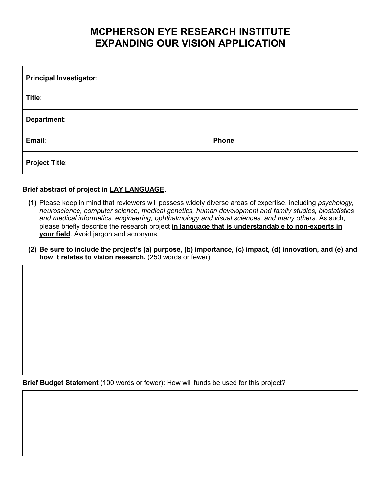# **MCPHERSON EYE RESEARCH INSTITUTE EXPANDING OUR VISION APPLICATION**

| <b>Principal Investigator:</b> |        |  |
|--------------------------------|--------|--|
| Title:                         |        |  |
| Department:                    |        |  |
| Email:                         | Phone: |  |
| <b>Project Title:</b>          |        |  |

## **Brief abstract of project in LAY LANGUAGE.**

- **(1)** Please keep in mind that reviewers will possess widely diverse areas of expertise, including *psychology, neuroscience, computer science, medical genetics, human development and family studies, biostatistics and medical informatics, engineering, ophthalmology and visual sciences, and many others*. As such, please briefly describe the research project **in language that is understandable to non-experts in your field**. Avoid jargon and acronyms.
- **(2) Be sure to include the project's (a) purpose, (b) importance, (c) impact, (d) innovation, and (e) and how it relates to vision research.** (250 words or fewer)

**Brief Budget Statement** (100 words or fewer): How will funds be used for this project?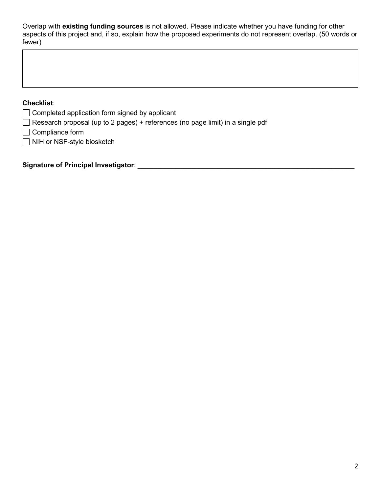Overlap with **existing funding sources** is not allowed. Please indicate whether you have funding for other aspects of this project and, if so, explain how the proposed experiments do not represent overlap. (50 words or fewer)

## **Checklist**:

- $\Box$  Completed application form signed by applicant
- $\Box$  Research proposal (up to 2 pages) + references (no page limit) in a single pdf
- $\Box$  Compliance form
- □ NIH or NSF-style biosketch

**Signature of Principal Investigator**: \_\_\_\_\_\_\_\_\_\_\_\_\_\_\_\_\_\_\_\_\_\_\_\_\_\_\_\_\_\_\_\_\_\_\_\_\_\_\_\_\_\_\_\_\_\_\_\_\_\_\_\_\_\_\_\_\_